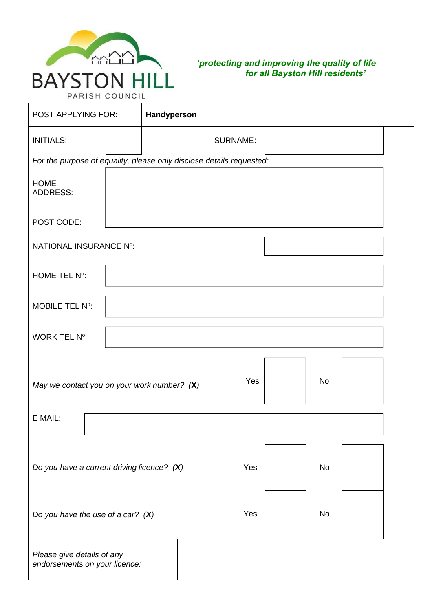

## *'protecting and improving the quality of life for all Bayston Hill residents'*

| POST APPLYING FOR:                                          | Handyperson |                                                                      |           |  |
|-------------------------------------------------------------|-------------|----------------------------------------------------------------------|-----------|--|
| <b>INITIALS:</b>                                            |             | <b>SURNAME:</b>                                                      |           |  |
|                                                             |             | For the purpose of equality, please only disclose details requested: |           |  |
| <b>HOME</b><br><b>ADDRESS:</b>                              |             |                                                                      |           |  |
| POST CODE:                                                  |             |                                                                      |           |  |
| NATIONAL INSURANCE Nº:                                      |             |                                                                      |           |  |
| HOME TEL N°:                                                |             |                                                                      |           |  |
| <b>MOBILE TEL Nº:</b>                                       |             |                                                                      |           |  |
| <b>WORK TEL Nº:</b>                                         |             |                                                                      |           |  |
| May we contact you on your work number? $(X)$               |             | Yes                                                                  | <b>No</b> |  |
| E MAIL:                                                     |             |                                                                      |           |  |
| Do you have a current driving licence? $(X)$                |             | Yes                                                                  | <b>No</b> |  |
| Do you have the use of a car? $(X)$                         |             | Yes                                                                  | No        |  |
| Please give details of any<br>endorsements on your licence: |             |                                                                      |           |  |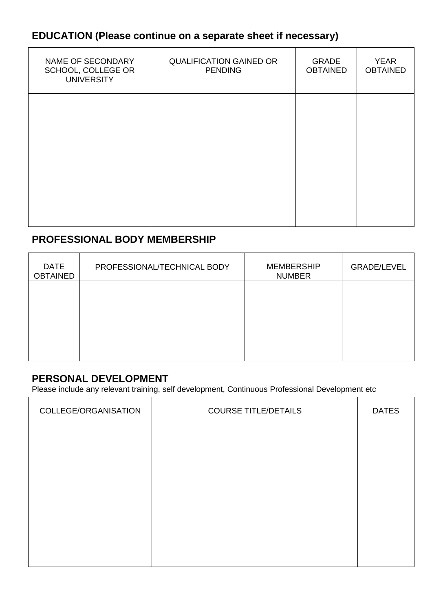# **EDUCATION (Please continue on a separate sheet if necessary)**

| NAME OF SECONDARY<br>SCHOOL, COLLEGE OR<br><b>UNIVERSITY</b> | <b>QUALIFICATION GAINED OR</b><br><b>PENDING</b> | <b>GRADE</b><br><b>OBTAINED</b> | <b>YEAR</b><br><b>OBTAINED</b> |
|--------------------------------------------------------------|--------------------------------------------------|---------------------------------|--------------------------------|
|                                                              |                                                  |                                 |                                |
|                                                              |                                                  |                                 |                                |
|                                                              |                                                  |                                 |                                |

# **PROFESSIONAL BODY MEMBERSHIP**

| <b>DATE</b><br><b>OBTAINED</b> | PROFESSIONAL/TECHNICAL BODY | <b>MEMBERSHIP</b><br><b>NUMBER</b> | <b>GRADE/LEVEL</b> |
|--------------------------------|-----------------------------|------------------------------------|--------------------|
|                                |                             |                                    |                    |
|                                |                             |                                    |                    |
|                                |                             |                                    |                    |

# **PERSONAL DEVELOPMENT**

Please include any relevant training, self development, Continuous Professional Development etc

| COLLEGE/ORGANISATION | <b>COURSE TITLE/DETAILS</b> | <b>DATES</b> |
|----------------------|-----------------------------|--------------|
|                      |                             |              |
|                      |                             |              |
|                      |                             |              |
|                      |                             |              |
|                      |                             |              |
|                      |                             |              |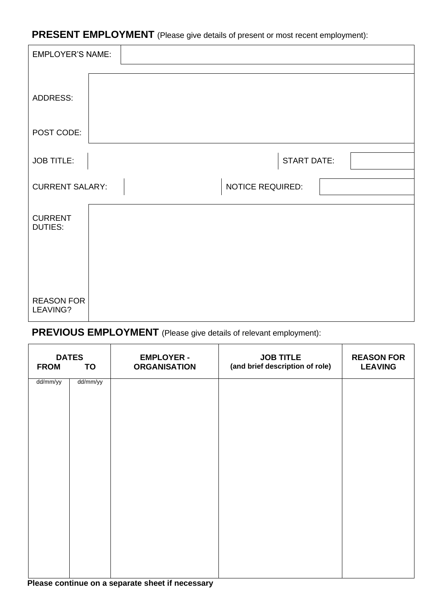**PRESENT EMPLOYMENT** (Please give details of present or most recent employment):

| <b>EMPLOYER'S NAME:</b>          |                    |  |
|----------------------------------|--------------------|--|
|                                  |                    |  |
| ADDRESS:                         |                    |  |
| POST CODE:                       |                    |  |
| <b>JOB TITLE:</b>                | <b>START DATE:</b> |  |
| <b>CURRENT SALARY:</b>           | NOTICE REQUIRED:   |  |
| <b>CURRENT</b><br><b>DUTIES:</b> |                    |  |
|                                  |                    |  |
| <b>REASON FOR</b><br>LEAVING?    |                    |  |

# **PREVIOUS EMPLOYMENT** (Please give details of relevant employment):

| <b>FROM</b> | <b>DATES</b><br>TO | <b>EMPLOYER -</b><br><b>ORGANISATION</b> | <b>JOB TITLE</b><br>(and brief description of role) | <b>REASON FOR</b><br><b>LEAVING</b> |
|-------------|--------------------|------------------------------------------|-----------------------------------------------------|-------------------------------------|
| dd/mm/yy    | dd/mm/yy           |                                          |                                                     |                                     |
|             |                    |                                          |                                                     |                                     |
|             |                    |                                          |                                                     |                                     |
|             |                    |                                          |                                                     |                                     |
|             |                    |                                          |                                                     |                                     |
|             |                    |                                          |                                                     |                                     |
|             |                    |                                          |                                                     |                                     |

#### **Please continue on a separate sheet if necessary**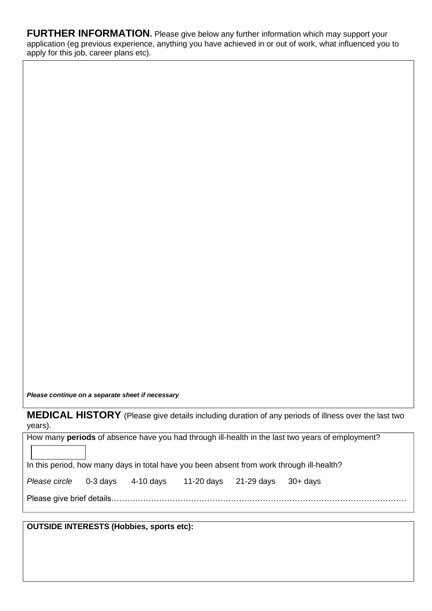**FURTHER INFORMATION.** Please give below any further information which may support your application (eg previous experience, anything you have achieved in or out of work, what influenced you to apply for this job, career plans etc).

*Please continue on a separate sheet if necessary*

**MEDICAL HISTORY** (Please give details including duration of any periods of illness over the last two years).

How many **periods** of absence have you had through ill-health in the last two years of employment?

In this period, how many days in total have you been absent from work through ill-health?

| Please circle 0-3 days 4-10 days 11-20 days 21-29 days 30+ days |  |  |  |
|-----------------------------------------------------------------|--|--|--|
|                                                                 |  |  |  |

|--|

**OUTSIDE INTERESTS (Hobbies, sports etc):**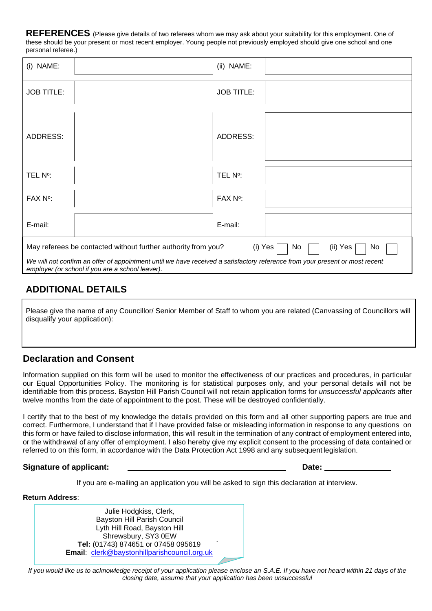**REFERENCES** (Please give details of two referees whom we may ask about your suitability for this employment. One of these should be your present or most recent employer. Young people not previously employed should give one school and one personal referee.)

| (i) NAME:                                                                                                                                                                                                                                                                            |  | (ii) NAME:        |  |  |  |
|--------------------------------------------------------------------------------------------------------------------------------------------------------------------------------------------------------------------------------------------------------------------------------------|--|-------------------|--|--|--|
| <b>JOB TITLE:</b>                                                                                                                                                                                                                                                                    |  | <b>JOB TITLE:</b> |  |  |  |
| <b>ADDRESS:</b>                                                                                                                                                                                                                                                                      |  | ADDRESS:          |  |  |  |
| TEL N°:                                                                                                                                                                                                                                                                              |  | TEL N°:           |  |  |  |
| $FAX$ $N^{\circ}$ :                                                                                                                                                                                                                                                                  |  | FAX N°:           |  |  |  |
| E-mail:                                                                                                                                                                                                                                                                              |  | E-mail:           |  |  |  |
| May referees be contacted without further authority from you?<br>(i) Yes<br>No<br>(ii) Yes<br>No<br>We will not confirm an offer of appointment until we have received a satisfactory reference from your present or most recent<br>employer (or school if you are a school leaver). |  |                   |  |  |  |

## **ADDITIONAL DETAILS**

Please give the name of any Councillor/ Senior Member of Staff to whom you are related (Canvassing of Councillors will disqualify your application):

## **Declaration and Consent**

Information supplied on this form will be used to monitor the effectiveness of our practices and procedures, in particular our Equal Opportunities Policy. The monitoring is for statistical purposes only, and your personal details will not be identifiable from this process. Bayston Hill Parish Council will not retain application forms for *unsuccessful applicants* after twelve months from the date of appointment to the post. These will be destroyed confidentially.

I certify that to the best of my knowledge the details provided on this form and all other supporting papers are true and correct. Furthermore, I understand that if I have provided false or misleading information in response to any questions on this form or have failed to disclose information, this will result in the termination of any contract of employment entered into, or the withdrawal of any offer of employment. I also hereby give my explicit consent to the processing of data contained or referred to on this form, in accordance with the Data Protection Act 1998 and any subsequent legislation.

#### **Signature of applicant: Date:**

If you are e-mailing an application you will be asked to sign this declaration at interview.

**Return Address**:

. Julie Hodgkiss, Clerk, Bayston Hill Parish Council Lyth Hill Road, Bayston Hill Shrewsbury, SY3 0EW **Tel:** (01743) 874651 or 07458 095619 **Email**: [clerk@baystonhillparishcouncil.org.uk](mailto:clerk@baystonhillparishcouncil.org.uk)

*If you would like us to acknowledge receipt of your application please enclose an S.A.E. If you have not heard within 21 days of the closing date, assume that your application has been unsuccessful*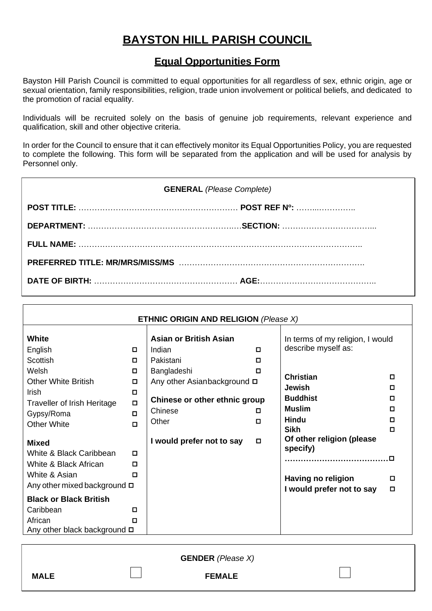# **BAYSTON HILL PARISH COUNCIL**

## **Equal Opportunities Form**

Bayston Hill Parish Council is committed to equal opportunities for all regardless of sex, ethnic origin, age or sexual orientation, family responsibilities, religion, trade union involvement or political beliefs, and dedicated to the promotion of racial equality.

Individuals will be recruited solely on the basis of genuine job requirements, relevant experience and qualification, skill and other objective criteria.

In order for the Council to ensure that it can effectively monitor its Equal Opportunities Policy, you are requested to complete the following. This form will be separated from the application and will be used for analysis by Personnel only.

| <b>GENERAL</b> (Please Complete) |  |  |  |  |  |
|----------------------------------|--|--|--|--|--|
|                                  |  |  |  |  |  |
|                                  |  |  |  |  |  |
|                                  |  |  |  |  |  |
|                                  |  |  |  |  |  |
|                                  |  |  |  |  |  |
|                                  |  |  |  |  |  |

| <b>ETHNIC ORIGIN AND RELIGION (Please X)</b>                                                            |                            |                                                                                               |        |                                                                                |                  |
|---------------------------------------------------------------------------------------------------------|----------------------------|-----------------------------------------------------------------------------------------------|--------|--------------------------------------------------------------------------------|------------------|
| <b>White</b><br>English                                                                                 | 0                          | <b>Asian or British Asian</b><br>Indian                                                       | О.     | In terms of my religion, I would<br>describe myself as:                        |                  |
| <b>Scottish</b>                                                                                         | 0                          | Pakistani                                                                                     | О.     |                                                                                |                  |
| Welsh<br><b>Other White British</b><br>Irish<br><b>Traveller of Irish Heritage</b>                      | 0<br>□<br>$\Box$<br>$\Box$ | Bangladeshi<br>Any other Asianbackground <b>□</b><br>Chinese or other ethnic group<br>Chinese | О<br>0 | <b>Christian</b><br>Jewish<br><b>Buddhist</b><br><b>Muslim</b>                 | п<br>п<br>п<br>□ |
| Gypsy/Roma                                                                                              | $\Box$<br>$\Box$           | Other                                                                                         | 0      | <b>Hindu</b>                                                                   | п                |
| <b>Other White</b><br><b>Mixed</b><br>White & Black Caribbean<br>White & Black African<br>White & Asian | D.<br>П<br>п               | I would prefer not to say                                                                     | □      | <b>Sikh</b><br>Of other religion (please<br>specify)<br><br>Having no religion | п<br>O<br>□      |
| Any other mixed background $\Box$                                                                       |                            |                                                                                               |        | I would prefer not to say                                                      | о                |
| <b>Black or Black British</b><br>Caribbean<br>African<br>Any other black background $\Box$              | $\Box$<br>п.               |                                                                                               |        |                                                                                |                  |

|             | <b>GENDER</b> (Please X) |  |
|-------------|--------------------------|--|
| <b>MALE</b> | <b>FEMALE</b>            |  |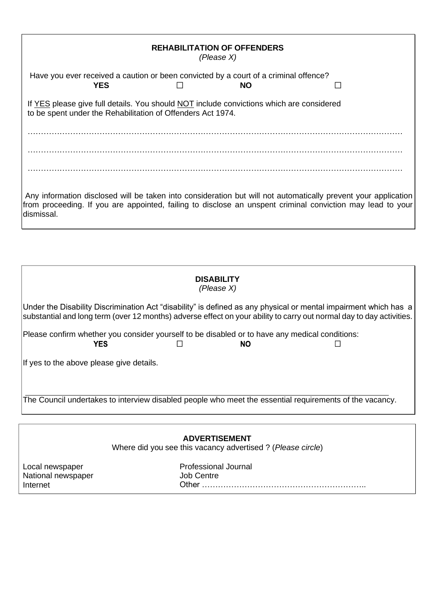|                                                                                                                                                         | <b>REHABILITATION OF OFFENDERS</b><br>(Please X) |                                                                                                   |  |
|---------------------------------------------------------------------------------------------------------------------------------------------------------|--------------------------------------------------|---------------------------------------------------------------------------------------------------|--|
| <b>YES</b>                                                                                                                                              |                                                  | Have you ever received a caution or been convicted by a court of a criminal offence?<br><b>NO</b> |  |
| If YES please give full details. You should NOT include convictions which are considered<br>to be spent under the Rehabilitation of Offenders Act 1974. |                                                  |                                                                                                   |  |
|                                                                                                                                                         |                                                  |                                                                                                   |  |
|                                                                                                                                                         |                                                  |                                                                                                   |  |
|                                                                                                                                                         |                                                  |                                                                                                   |  |

Any information disclosed will be taken into consideration but will not automatically prevent your application from proceeding. If you are appointed, failing to disclose an unspent criminal conviction may lead to your dismissal.

| <b>DISABILITY</b><br>(Please X)                                                                                                                                                                                                          |
|------------------------------------------------------------------------------------------------------------------------------------------------------------------------------------------------------------------------------------------|
| Under the Disability Discrimination Act "disability" is defined as any physical or mental impairment which has a<br>substantial and long term (over 12 months) adverse effect on your ability to carry out normal day to day activities. |
| Please confirm whether you consider yourself to be disabled or to have any medical conditions:<br><b>YES</b><br>NO.                                                                                                                      |
| If yes to the above please give details.                                                                                                                                                                                                 |
| The Council undertakes to interview disabled people who meet the essential requirements of the vacancy.                                                                                                                                  |

| <b>ADVERTISEMENT</b> |  |  |
|----------------------|--|--|
|                      |  |  |

Where did you see this vacancy advertised ? (*Please circle*)

Local newspaper National newspaper Internet

Professional Journal Job Centre Other ……………………………………………………..